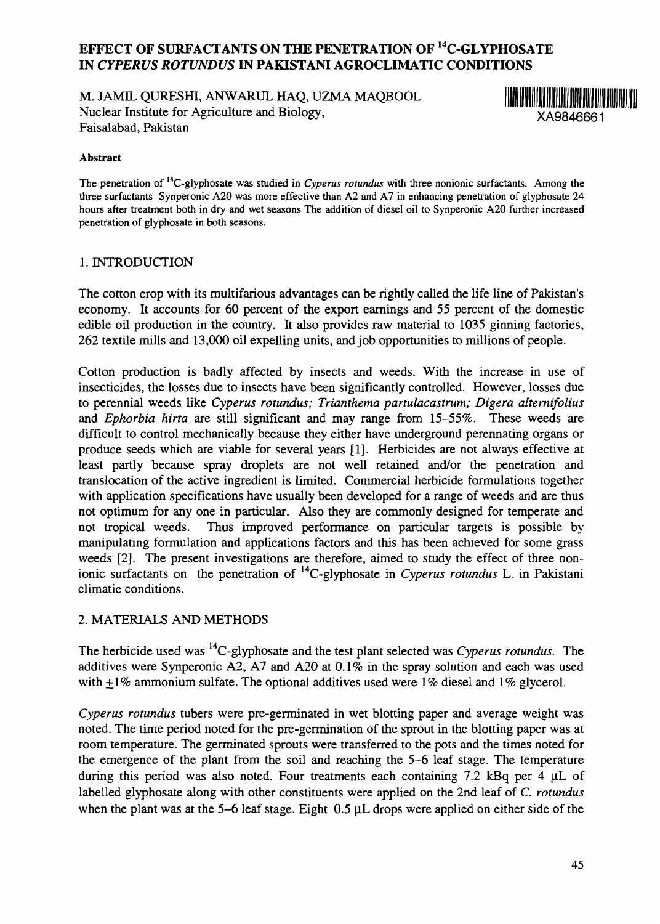# **EFFECT OF SURFACTANTS ON THE PENETRATION OF <sup>14</sup>C-GLYPHOSATE IN** *CYPERUS ROTVNDUS* **IN PAKISTANI AGROCLIMATIC CONDITIONS**

M. JAMIL QURESHI, ANWARUL HAQ, UZMA MAQBOOL Nuclear Institute for Agriculture and Biology, XA9846661 Faisalabad, Pakistan



#### **Abstract**

The penetration of <sup>14</sup>C-glyphosate was studied in *Cyperus rotundus* with three nonionic surfactants. Among the three surfactants Synperonic A20 was more effective than A2 and A7 in enhancing penetration of glyphosate 24 hours after treatment both in dry and wet seasons The addition of diesel oil to Synperonic A20 further increased penetration of glyphosate in both seasons.

### 1. INTRODUCTION

The cotton crop with its multifarious advantages can be rightly called the life line of Pakistan's economy. It accounts for 60 percent of the export earnings and 55 percent of the domestic edible oil production in the country. It also provides raw material to 1035 ginning factories, 262 textile mills and 13,000 oil expelling units, and job opportunities to millions of people.

Cotton production is badly affected by insects and weeds. With the increase in use of insecticides, the losses due to insects have been significantly controlled. However, losses due to perennial weeds like *Cyperus rotundus; Trianthema partulacastrum; Digera alternifolius* and *Ephorbia hirta* are still significant and may range from 15-55%. These weeds are difficult to control mechanically because they either have underground perennating organs or produce seeds which are viable for several years [1]. Herbicides are not always effective at least partly because spray droplets are not well retained and/or the penetration and translocation of the active ingredient is limited. Commercial herbicide formulations together with application specifications have usually been developed for a range of weeds and are thus not optimum for any one in particular. Also they are commonly designed for temperate and not tropical weeds. Thus improved performance on particular targets is possible by manipulating formulation and applications factors and this has been achieved for some grass weeds [2]. The present investigations are therefore, aimed to study the effect of three nonionic surfactants on the penetration of <sup>14</sup>C-glyphosate in *Cyperus rotundus* L. in Pakistani climatic conditions.

# 2. MATERIALS AND METHODS

The herbicide used was<sup>14</sup>C-glyphosate and the test plant selected was *Cyperus rotundus*. The additives were Synperonic A2, A7 and A20 at 0.1% in the spray solution and each was used with  $+1\%$  ammonium sulfate. The optional additives used were  $1\%$  diesel and  $1\%$  glycerol.

*Cyperus rotundus* tubers were pre-germinated in wet blotting paper and average weight was noted. The time period noted for the pre-germination of the sprout in the blotting paper was at room temperature. The germinated sprouts were transferred to the pots and the times noted for the emergence of the plant from the soil and reaching the 5-6 leaf stage. The temperature during this period was also noted. Four treatments each containing 7.2 kBq per 4 µL of labelled glyphosate along with other constituents were applied on the 2nd leaf of C. *rotundus* when the plant was at the 5-6 leaf stage. Eight 0.5  $\mu$ L drops were applied on either side of the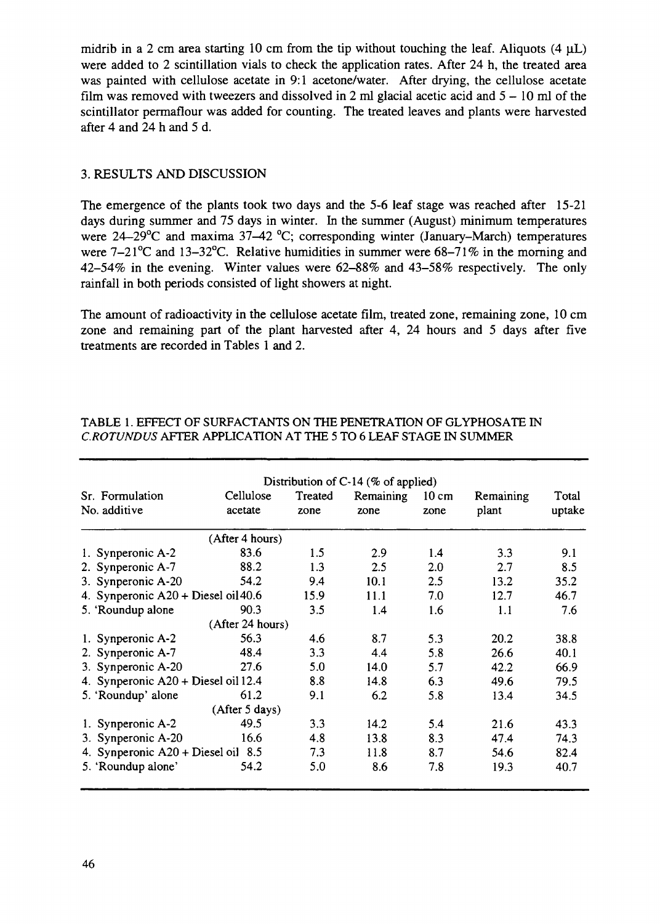midrib in a 2 cm area starting 10 cm from the tip without touching the leaf. Aliquots  $(4 \mu L)$ were added to 2 scintillation vials to check the application rates. After 24 h, the treated area was painted with cellulose acetate in 9:1 acetone/water. After drying, the cellulose acetate film was removed with tweezers and dissolved in 2 ml glacial acetic acid and  $5 - 10$  ml of the scintillator permaflour was added for counting. The treated leaves and plants were harvested after 4 and 24 h and 5 d.

## 3. RESULTS AND DISCUSSION

The emergence of the plants took two days and the 5-6 leaf stage was reached after 15-21 days during summer and 75 days in winter. In the summer (August) minimum temperatures were  $24-29^{\circ}$ C and maxima 37-42  $^{\circ}$ C; corresponding winter (January-March) temperatures were 7-21<sup>o</sup>C and 13-32<sup>o</sup>C. Relative humidities in summer were 68-71% in the morning and 42-54% in the evening. Winter values were 62-88% and 43-58% respectively. The only rainfall in both periods consisted of light showers at night.

The amount of radioactivity in the cellulose acetate film, treated zone, remaining zone, 10 cm zone and remaining part of the plant harvested after 4, 24 hours and 5 days after five treatments are recorded in Tables 1 and 2.

| Distribution of C-14 ( $%$ of applied) |                      |                 |                   |                         |                    |                 |  |  |  |  |  |
|----------------------------------------|----------------------|-----------------|-------------------|-------------------------|--------------------|-----------------|--|--|--|--|--|
| Sr. Formulation<br>No. additive        | Cellulose<br>acetate | Treated<br>zone | Remaining<br>zone | $10 \text{ cm}$<br>zone | Remaining<br>plant | Total<br>uptake |  |  |  |  |  |
|                                        | (After 4 hours)      |                 |                   |                         |                    |                 |  |  |  |  |  |
| 1. Synperonic A-2                      | 83.6                 | 1.5             | 2.9               | 1.4                     | 3.3                | 9.1             |  |  |  |  |  |
| 2. Synperonic A-7                      | 88.2                 | 1.3             | 2.5               | 2.0                     | 2.7                | 8.5             |  |  |  |  |  |
| 3. Synperonic A-20                     | 54.2                 | 9.4             | 10.1              | 2.5                     | 13.2               | 35.2            |  |  |  |  |  |
| 4. Synperonic $A20 + Di$ esel oil 40.6 |                      | 15.9            | 11.1              | 7.0                     | 12.7               | 46.7            |  |  |  |  |  |
| 5. 'Roundup alone                      | 90.3                 | 3.5             | 1.4               | 1.6                     | 1.1                | 7.6             |  |  |  |  |  |
|                                        | (After 24 hours)     |                 |                   |                         |                    |                 |  |  |  |  |  |
| 1. Synperonic A-2                      | 56.3                 | 4.6             | 8.7               | 5.3                     | 20.2               | 38.8            |  |  |  |  |  |
| 2. Synperonic A-7                      | 48.4                 | 3.3             | 4.4               | 5.8                     | 26.6               | 40.1            |  |  |  |  |  |
| 3. Synperonic A-20                     | 27.6                 | 5.0             | 14.0              | 5.7                     | 42.2               | 66.9            |  |  |  |  |  |
| 4. Synperonic A20 + Diesel oil 12.4    |                      | 8.8             | 14.8              | 6.3                     | 49.6               | 79.5            |  |  |  |  |  |
| 5. 'Roundup' alone                     | 61.2                 | 9.1             | 6.2               | 5.8                     | 13.4               | 34.5            |  |  |  |  |  |
|                                        | (After 5 days)       |                 |                   |                         |                    |                 |  |  |  |  |  |
| 1. Synperonic A-2                      | 49.5                 | 3.3             | 14.2              | 5.4                     | 21.6               | 43.3            |  |  |  |  |  |
| 3. Synperonic A-20                     | 16.6                 | 4.8             | 13.8              | 8.3                     | 47.4               | 74.3            |  |  |  |  |  |
| 4. Synperonic $A20 + D$ iesel oil 8.5  | 7.3                  | 11.8            | 8.7               | 54.6                    | 82.4               |                 |  |  |  |  |  |
| 5. 'Roundup alone'                     | 54.2                 | 5.0             | 8.6               | 7.8                     | 19.3               | 40.7            |  |  |  |  |  |

## TABLE 1. EFFECT OF SURFACTANTS ON THE PENETRATION OF GLYPHOSATE IN *C.ROTUNDUS* AFTER APPLICATION AT THE 5 TO 6 LEAF STAGE IN SUMMER